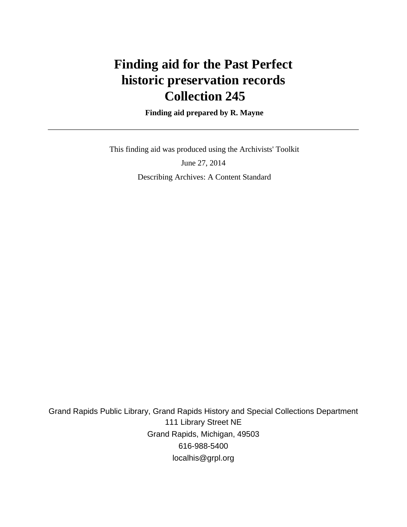# **Finding aid for the Past Perfect historic preservation records Collection 245**

 **Finding aid prepared by R. Mayne**

 This finding aid was produced using the Archivists' Toolkit June 27, 2014 Describing Archives: A Content Standard

Grand Rapids Public Library, Grand Rapids History and Special Collections Department 111 Library Street NE Grand Rapids, Michigan, 49503 616-988-5400 localhis@grpl.org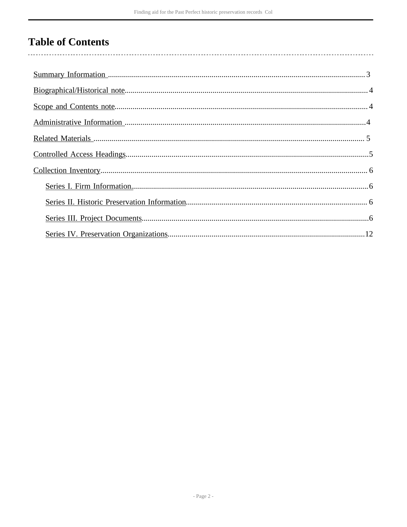# **Table of Contents**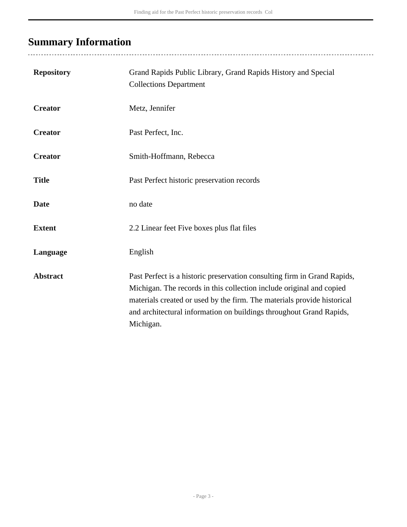## <span id="page-2-0"></span>**Summary Information**

| <b>Repository</b> | Grand Rapids Public Library, Grand Rapids History and Special<br><b>Collections Department</b>                                                                                                                                                                                                                  |
|-------------------|-----------------------------------------------------------------------------------------------------------------------------------------------------------------------------------------------------------------------------------------------------------------------------------------------------------------|
| <b>Creator</b>    | Metz, Jennifer                                                                                                                                                                                                                                                                                                  |
| <b>Creator</b>    | Past Perfect, Inc.                                                                                                                                                                                                                                                                                              |
| <b>Creator</b>    | Smith-Hoffmann, Rebecca                                                                                                                                                                                                                                                                                         |
| <b>Title</b>      | Past Perfect historic preservation records                                                                                                                                                                                                                                                                      |
| <b>Date</b>       | no date                                                                                                                                                                                                                                                                                                         |
| <b>Extent</b>     | 2.2 Linear feet Five boxes plus flat files                                                                                                                                                                                                                                                                      |
| Language          | English                                                                                                                                                                                                                                                                                                         |
| <b>Abstract</b>   | Past Perfect is a historic preservation consulting firm in Grand Rapids,<br>Michigan. The records in this collection include original and copied<br>materials created or used by the firm. The materials provide historical<br>and architectural information on buildings throughout Grand Rapids,<br>Michigan. |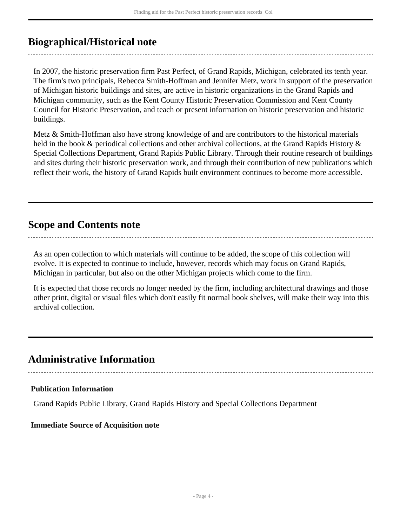## <span id="page-3-0"></span>**Biographical/Historical note**

In 2007, the historic preservation firm Past Perfect, of Grand Rapids, Michigan, celebrated its tenth year. The firm's two principals, Rebecca Smith-Hoffman and Jennifer Metz, work in support of the preservation of Michigan historic buildings and sites, are active in historic organizations in the Grand Rapids and Michigan community, such as the Kent County Historic Preservation Commission and Kent County Council for Historic Preservation, and teach or present information on historic preservation and historic buildings.

Metz & Smith-Hoffman also have strong knowledge of and are contributors to the historical materials held in the book & periodical collections and other archival collections, at the Grand Rapids History & Special Collections Department, Grand Rapids Public Library. Through their routine research of buildings and sites during their historic preservation work, and through their contribution of new publications which reflect their work, the history of Grand Rapids built environment continues to become more accessible.

### <span id="page-3-1"></span>**Scope and Contents note**

As an open collection to which materials will continue to be added, the scope of this collection will evolve. It is expected to continue to include, however, records which may focus on Grand Rapids, Michigan in particular, but also on the other Michigan projects which come to the firm.

It is expected that those records no longer needed by the firm, including architectural drawings and those other print, digital or visual files which don't easily fit normal book shelves, will make their way into this archival collection.

## <span id="page-3-2"></span>**Administrative Information**

#### **Publication Information**

Grand Rapids Public Library, Grand Rapids History and Special Collections Department

#### **Immediate Source of Acquisition note**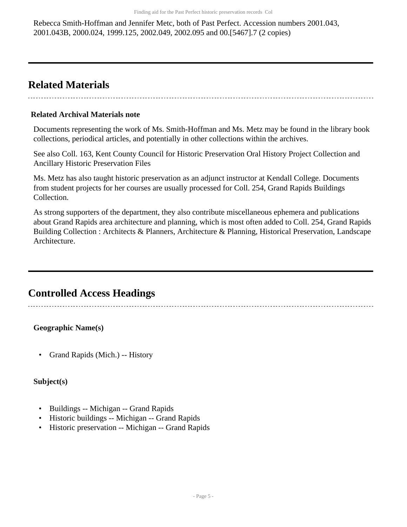Rebecca Smith-Hoffman and Jennifer Metc, both of Past Perfect. Accession numbers 2001.043, 2001.043B, 2000.024, 1999.125, 2002.049, 2002.095 and 00.[5467].7 (2 copies)

## <span id="page-4-0"></span>**Related Materials**

#### **Related Archival Materials note**

Documents representing the work of Ms. Smith-Hoffman and Ms. Metz may be found in the library book collections, periodical articles, and potentially in other collections within the archives.

See also Coll. 163, Kent County Council for Historic Preservation Oral History Project Collection and Ancillary Historic Preservation Files

Ms. Metz has also taught historic preservation as an adjunct instructor at Kendall College. Documents from student projects for her courses are usually processed for Coll. 254, Grand Rapids Buildings Collection.

As strong supporters of the department, they also contribute miscellaneous ephemera and publications about Grand Rapids area architecture and planning, which is most often added to Coll. 254, Grand Rapids Building Collection : Architects & Planners, Architecture & Planning, Historical Preservation, Landscape Architecture.

## <span id="page-4-1"></span>**Controlled Access Headings**

**Geographic Name(s)**

• Grand Rapids (Mich.) -- History

#### **Subject(s)**

- Buildings -- Michigan -- Grand Rapids
- Historic buildings -- Michigan -- Grand Rapids
- Historic preservation -- Michigan -- Grand Rapids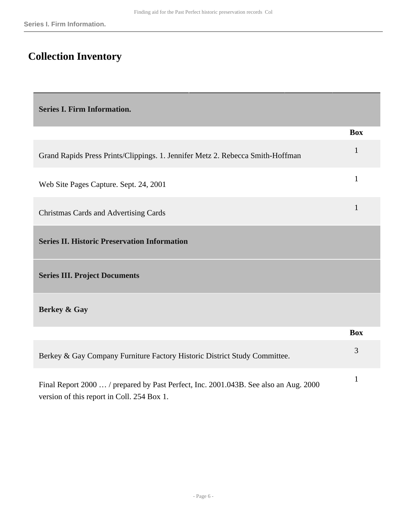## <span id="page-5-0"></span>**Collection Inventory**

<span id="page-5-1"></span>**Series I. Firm Information.** 

<span id="page-5-3"></span><span id="page-5-2"></span>

|                                                                                                                                    | <b>Box</b> |
|------------------------------------------------------------------------------------------------------------------------------------|------------|
| Grand Rapids Press Prints/Clippings. 1. Jennifer Metz 2. Rebecca Smith-Hoffman                                                     | 1          |
| Web Site Pages Capture. Sept. 24, 2001                                                                                             | 1          |
| Christmas Cards and Advertising Cards                                                                                              | 1          |
| <b>Series II. Historic Preservation Information</b>                                                                                |            |
| <b>Series III. Project Documents</b>                                                                                               |            |
| Berkey & Gay                                                                                                                       |            |
|                                                                                                                                    | <b>Box</b> |
| Berkey & Gay Company Furniture Factory Historic District Study Committee.                                                          | 3          |
| Final Report 2000  / prepared by Past Perfect, Inc. 2001.043B. See also an Aug. 2000<br>version of this report in Coll. 254 Box 1. | 1          |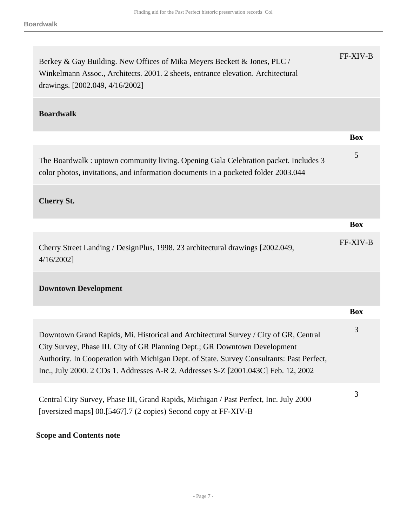| Berkey & Gay Building. New Offices of Mika Meyers Beckett & Jones, PLC /<br>Winkelmann Assoc., Architects. 2001. 2 sheets, entrance elevation. Architectural<br>drawings. [2002.049, 4/16/2002]                                                                                                                                                       | FF-XIV-B   |
|-------------------------------------------------------------------------------------------------------------------------------------------------------------------------------------------------------------------------------------------------------------------------------------------------------------------------------------------------------|------------|
| <b>Boardwalk</b>                                                                                                                                                                                                                                                                                                                                      |            |
|                                                                                                                                                                                                                                                                                                                                                       | <b>Box</b> |
| The Boardwalk: uptown community living. Opening Gala Celebration packet. Includes 3<br>color photos, invitations, and information documents in a pocketed folder 2003.044                                                                                                                                                                             | 5          |
| <b>Cherry St.</b>                                                                                                                                                                                                                                                                                                                                     |            |
|                                                                                                                                                                                                                                                                                                                                                       | <b>Box</b> |
| Cherry Street Landing / DesignPlus, 1998. 23 architectural drawings [2002.049,<br>$4/16/2002$ ]                                                                                                                                                                                                                                                       | FF-XIV-B   |
| <b>Downtown Development</b>                                                                                                                                                                                                                                                                                                                           |            |
|                                                                                                                                                                                                                                                                                                                                                       | <b>Box</b> |
| Downtown Grand Rapids, Mi. Historical and Architectural Survey / City of GR, Central<br>City Survey, Phase III. City of GR Planning Dept.; GR Downtown Development<br>Authority. In Cooperation with Michigan Dept. of State. Survey Consultants: Past Perfect,<br>Inc., July 2000. 2 CDs 1. Addresses A-R 2. Addresses S-Z [2001.043C] Feb. 12, 2002 | 3          |
| Central City Survey, Phase III, Grand Rapids, Michigan / Past Perfect, Inc. July 2000<br>[oversized maps] 00.[5467].7 (2 copies) Second copy at FF-XIV-B                                                                                                                                                                                              | 3          |

### **Scope and Contents note**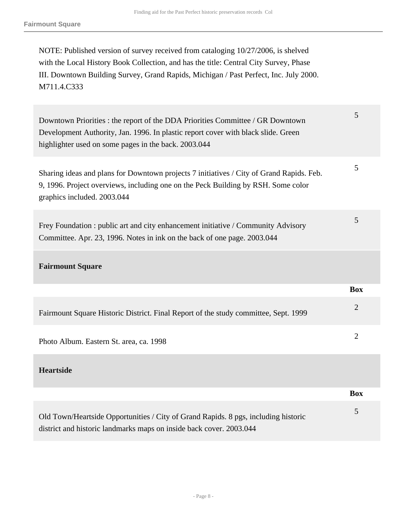NOTE: Published version of survey received from cataloging 10/27/2006, is shelved with the Local History Book Collection, and has the title: Central City Survey, Phase III. Downtown Building Survey, Grand Rapids, Michigan / Past Perfect, Inc. July 2000. M711.4.C333

Downtown Priorities : the report of the DDA Priorities Committee / GR Downtown Development Authority, Jan. 1996. In plastic report cover with black slide. Green highlighter used on some pages in the back. 2003.044

5

**Box**

Sharing ideas and plans for Downtown projects 7 initiatives / City of Grand Rapids. Feb. 9, 1996. Project overviews, including one on the Peck Building by RSH. Some color graphics included. 2003.044 5

Frey Foundation : public art and city enhancement initiative / Community Advisory Committee. Apr. 23, 1996. Notes in ink on the back of one page. 2003.044 5

#### **Fairmount Square**

|                                                                                     | <b>Box</b>                  |
|-------------------------------------------------------------------------------------|-----------------------------|
| Fairmount Square Historic District. Final Report of the study committee, Sept. 1999 | $\overline{2}$              |
| Photo Album. Eastern St. area, ca. 1998                                             | $\mathcal{D}_{\mathcal{A}}$ |
| <b>Heartside</b>                                                                    |                             |

| Old Town/Heartside Opportunities / City of Grand Rapids. 8 pgs, including historic |  |
|------------------------------------------------------------------------------------|--|
| district and historic landmarks maps on inside back cover. 2003.044                |  |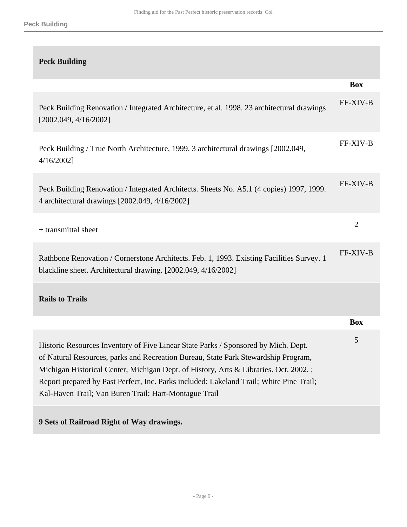| <b>Peck Building</b>                                                                                                                                                                                                                                                                                                                                                                                                 |                |
|----------------------------------------------------------------------------------------------------------------------------------------------------------------------------------------------------------------------------------------------------------------------------------------------------------------------------------------------------------------------------------------------------------------------|----------------|
|                                                                                                                                                                                                                                                                                                                                                                                                                      | <b>Box</b>     |
| Peck Building Renovation / Integrated Architecture, et al. 1998. 23 architectural drawings<br>[2002.049, 4/16/2002]                                                                                                                                                                                                                                                                                                  | FF-XIV-B       |
| Peck Building / True North Architecture, 1999. 3 architectural drawings [2002.049,<br>$4/16/2002$ ]                                                                                                                                                                                                                                                                                                                  | FF-XIV-B       |
| Peck Building Renovation / Integrated Architects. Sheets No. A5.1 (4 copies) 1997, 1999.<br>4 architectural drawings [2002.049, 4/16/2002]                                                                                                                                                                                                                                                                           | FF-XIV-B       |
| $+$ transmittal sheet                                                                                                                                                                                                                                                                                                                                                                                                | $\overline{2}$ |
| Rathbone Renovation / Cornerstone Architects. Feb. 1, 1993. Existing Facilities Survey. 1<br>blackline sheet. Architectural drawing. [2002.049, 4/16/2002]                                                                                                                                                                                                                                                           | FF-XIV-B       |
| <b>Rails to Trails</b>                                                                                                                                                                                                                                                                                                                                                                                               |                |
|                                                                                                                                                                                                                                                                                                                                                                                                                      | <b>Box</b>     |
| Historic Resources Inventory of Five Linear State Parks / Sponsored by Mich. Dept.<br>of Natural Resources, parks and Recreation Bureau, State Park Stewardship Program,<br>Michigan Historical Center, Michigan Dept. of History, Arts & Libraries. Oct. 2002.;<br>Report prepared by Past Perfect, Inc. Parks included: Lakeland Trail; White Pine Trail;<br>Kal-Haven Trail; Van Buren Trail; Hart-Montague Trail | 5              |
|                                                                                                                                                                                                                                                                                                                                                                                                                      |                |

**9 Sets of Railroad Right of Way drawings.**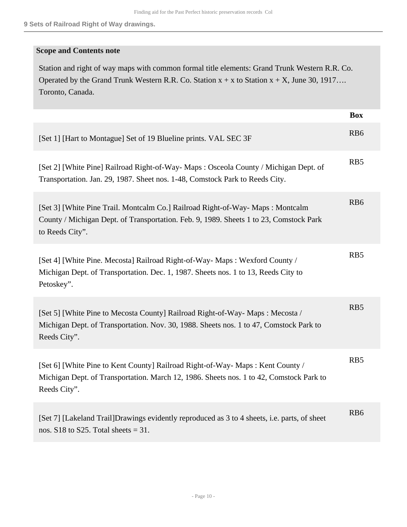#### **Scope and Contents note**

Station and right of way maps with common formal title elements: Grand Trunk Western R.R. Co. Operated by the Grand Trunk Western R.R. Co. Station  $x + x$  to Station  $x + X$ , June 30, 1917... Toronto, Canada.

|                                                                                                                                                                                            | <b>Box</b>      |
|--------------------------------------------------------------------------------------------------------------------------------------------------------------------------------------------|-----------------|
| [Set 1] [Hart to Montague] Set of 19 Blueline prints. VAL SEC 3F                                                                                                                           | RB <sub>6</sub> |
| [Set 2] [White Pine] Railroad Right-of-Way-Maps: Osceola County / Michigan Dept. of<br>Transportation. Jan. 29, 1987. Sheet nos. 1-48, Comstock Park to Reeds City.                        | RB5             |
| [Set 3] [White Pine Trail. Montcalm Co.] Railroad Right-of-Way-Maps: Montcalm<br>County / Michigan Dept. of Transportation. Feb. 9, 1989. Sheets 1 to 23, Comstock Park<br>to Reeds City". | R <sub>B6</sub> |
| [Set 4] [White Pine. Mecosta] Railroad Right-of-Way-Maps: Wexford County /<br>Michigan Dept. of Transportation. Dec. 1, 1987. Sheets nos. 1 to 13, Reeds City to<br>Petoskey".             | R <sub>B5</sub> |
| [Set 5] [White Pine to Mecosta County] Railroad Right-of-Way-Maps: Mecosta /<br>Michigan Dept. of Transportation. Nov. 30, 1988. Sheets nos. 1 to 47, Comstock Park to<br>Reeds City".     | RB5             |
| [Set 6] [White Pine to Kent County] Railroad Right-of-Way-Maps: Kent County /<br>Michigan Dept. of Transportation. March 12, 1986. Sheets nos. 1 to 42, Comstock Park to<br>Reeds City".   | RB5             |
| [Set 7] [Lakeland Trail]Drawings evidently reproduced as 3 to 4 sheets, i.e. parts, of sheet<br>nos. $S18$ to $S25$ . Total sheets = 31.                                                   | RB <sub>6</sub> |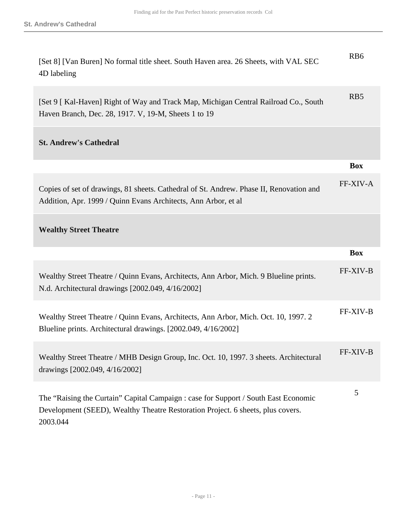| [Set 8] [Van Buren] No formal title sheet. South Haven area. 26 Sheets, with VAL SEC<br>4D labeling                                                                                | RB <sub>6</sub> |
|------------------------------------------------------------------------------------------------------------------------------------------------------------------------------------|-----------------|
| [Set 9 [Kal-Haven] Right of Way and Track Map, Michigan Central Railroad Co., South<br>Haven Branch, Dec. 28, 1917. V, 19-M, Sheets 1 to 19                                        | R <sub>B5</sub> |
| <b>St. Andrew's Cathedral</b>                                                                                                                                                      |                 |
|                                                                                                                                                                                    | <b>Box</b>      |
| Copies of set of drawings, 81 sheets. Cathedral of St. Andrew. Phase II, Renovation and<br>Addition, Apr. 1999 / Quinn Evans Architects, Ann Arbor, et al                          | <b>FF-XIV-A</b> |
| <b>Wealthy Street Theatre</b>                                                                                                                                                      |                 |
|                                                                                                                                                                                    | <b>Box</b>      |
| Wealthy Street Theatre / Quinn Evans, Architects, Ann Arbor, Mich. 9 Blueline prints.<br>N.d. Architectural drawings [2002.049, 4/16/2002]                                         | FF-XIV-B        |
| Wealthy Street Theatre / Quinn Evans, Architects, Ann Arbor, Mich. Oct. 10, 1997. 2<br>Blueline prints. Architectural drawings. [2002.049, 4/16/2002]                              | <b>FF-XIV-B</b> |
| Wealthy Street Theatre / MHB Design Group, Inc. Oct. 10, 1997. 3 sheets. Architectural<br>drawings [2002.049, 4/16/2002]                                                           | <b>FF-XIV-B</b> |
| The "Raising the Curtain" Capital Campaign : case for Support / South East Economic<br>Development (SEED), Wealthy Theatre Restoration Project. 6 sheets, plus covers.<br>2003.044 | 5               |